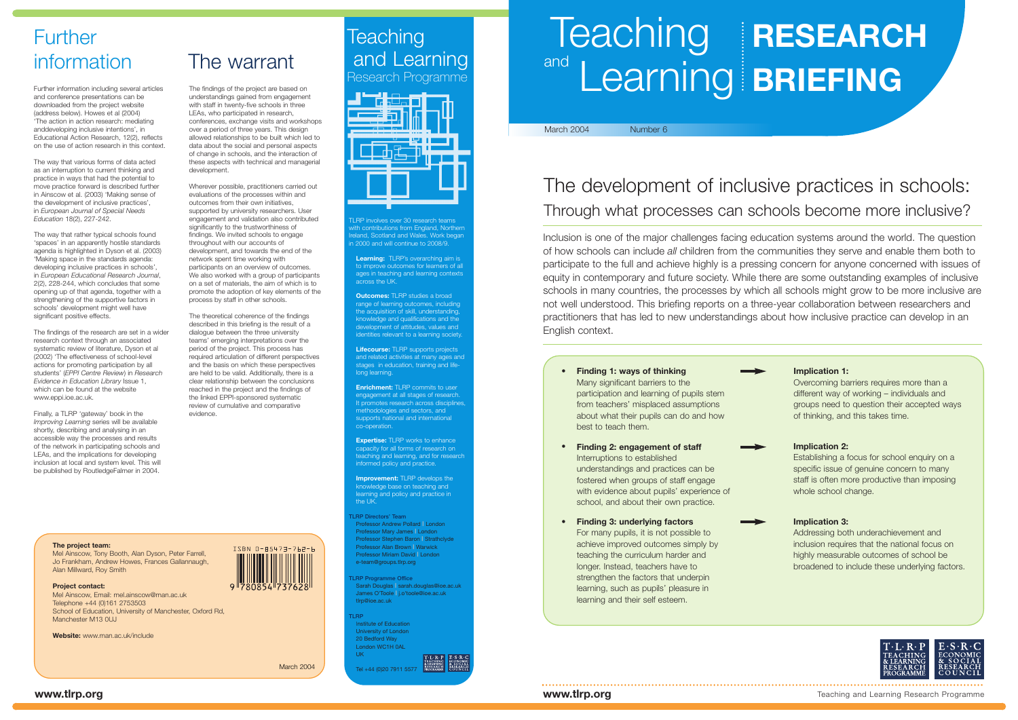# The development of inclusive practices in schools: Through what processes can schools become more inclusive?

Inclusion is one of the major challenges facing education systems around the world. The question of how schools can include *all* children from the communities they serve and enable them both to participate to the full and achieve highly is a pressing concern for anyone concerned with issues of equity in contemporary and future society. While there are some outstanding examples of inclusive schools in many countries, the processes by which all schools might grow to be more inclusive are not well understood. This briefing reports on a three-year collaboration between researchers and practitioners that has led to new understandings about how inclusive practice can develop in an English context.

**Learning:** TLRP's overarching aim is to improve outcomes for learners of all ages in teaching and learning contexts across the UK.

**Outcomes:** TLRP studies a broad range of learning outcomes, including the acquisition of skill, understanding, knowledge and qualifications and the development of attitudes, values and identities relevant to a learning society.

**Lifecourse:** TLRP supports projects and related activities at many ages and stages in education, training and lifelong learning.

**Enrichment:** TLRP commits to user engagement at all stages of research. It promotes research across disciplines methodologies and sectors, and supports national and international co-operation.

**Expertise:** TLRP works to enhance capacity for all forms of research on eaching and learning, and for research informed policy and practice.

**Improvement:** TLRP develops the knowledge base on teaching and learning and policy and practice in the UK.

**TLRP Directors' Team** Professor Andrew Pollard **|** London Professor Mary James **|** London Professor Stephen Baron **|** Strathclyde Professor Alan Brown **|** Warwick Professor Miriam David **|** London e-team@groups.tlrp.org

**TLRP Programme Office** Sarah Douglas **|** sarah.douglas@ioe.ac.uk James O'Toole **|** j.o'toole@ioe.ac.uk tlrp@ioe.ac.uk

The way that rather typical schools found 'spaces' in an apparently hostile standards agenda is highlighted in Dyson et al. (2003) 'Making space in the standards agenda: developing inclusive practices in schools', in *European Educational Research Journal*, 2(2), 228-244, which concludes that some opening up of that agenda, together with a strengthening of the supportive factors in schools' development might well have significant positive effects.

> **TLRP** Institute of Education University of London 20 Bedford Way London WC1H 0AL UK

Tel +44 (0)20 7911 5577



LRP involves over 30 research teams ith contributions from England, Northerr lland, Scotland and Wales. Work began 1 2000 and will continue to 2008/9.



## March 2004 Number 6

**Finding 1: ways of thinking** Many significant barriers to the participation and learning of pupils stem from teachers' misplaced assumptions about what their pupils can do and how best to teach them.

**•**

**• Finding 2: engagement of staff** Interruptions to established understandings and practices can be fostered when groups of staff engage with evidence about pupils' experience of school, and about their own practice.

## **Implication 2:**

Establishing a focus for school enquiry on a specific issue of genuine concern to many staff is often more productive than imposing whole school change.

**• Finding 3: underlying factors** For many pupils, it is not possible to achieve improved outcomes simply by teaching the curriculum harder and longer. Instead, teachers have to strengthen the factors that underpin learning, such as pupils' pleasure in learning and their self esteem.

## **Implication 3:**

Addressing both underachievement and inclusion requires that the national focus on highly measurable outcomes of school be broadened to include these underlying factors.



## **Implication 1:**

Overcoming barriers requires more than a different way of working – individuals and groups need to question their accepted ways of thinking, and this takes time.

## information The warrant

# **Further**

Further information including several articles and conference presentations can be downloaded from the project website (address below). Howes et al (2004) 'The action in action research: mediating anddeveloping inclusive intentions', in Educational Action Research, 12(2), reflects on the use of action research in this context.

The way that various forms of data acted as an interruption to current thinking and practice in ways that had the potential to move practice forward is described further in Ainscow et al. (2003) 'Making sense of the development of inclusive practices', in *European Journal of Special Needs Education* 18(2), 227-242.

The findings of the research are set in a wider research context through an associated systematic review of literature, Dyson et al (2002) 'The effectiveness of school-level actions for promoting participation by all students' (*EPPI Centre Review*) in *Research Evidence in Education Library* Issue 1, which can be found at the website www.eppi.ioe.ac.uk.

Finally, a TLRP 'gateway' book in the *Improving Learning* series will be available shortly, describing and analysing in an accessible way the processes and results of the network in participating schools and LEAs, and the implications for developing inclusion at local and system level. This will be published by RoutledgeFalmer in 2004.

The findings of the project are based on understandings gained from engagement with staff in twenty-five schools in three LEAs, who participated in research. conferences, exchange visits and workshops over a period of three years. This design allowed relationships to be built which led to data about the social and personal aspects of change in schools, and the interaction of these aspects with technical and managerial development.

Wherever possible, practitioners carried out evaluations of the processes within and outcomes from their own initiatives, supported by university researchers. User engagement and validation also contributed significantly to the trustworthiness of findings. We invited schools to engage throughout with our accounts of development, and towards the end of the network spent time working with participants on an overview of outcomes. We also worked with a group of participants on a set of materials, the aim of which is to promote the adoption of key elements of the process by staff in other schools.

The theoretical coherence of the findings described in this briefing is the result of a dialogue between the three university teams' emerging interpretations over the period of the project. This process has required articulation of different perspectives and the basis on which these perspectives are held to be valid. Additionally, there is a clear relationship between the conclusions reached in the project and the findings of the linked EPPI-sponsored systematic review of cumulative and comparative evidence.

#### **The project team:**

Mel Ainscow, Tony Booth, Alan Dyson, Peter Farrell, Jo Frankham, Andrew Howes, Frances Gallannaugh, Alan Millward, Roy Smith



School of Education, University of Manchester, Oxford Rd, Manchester M13 OLL

# ISBN 0-85473-762-6

**Website:** www.man.ac.uk/include

March 2004